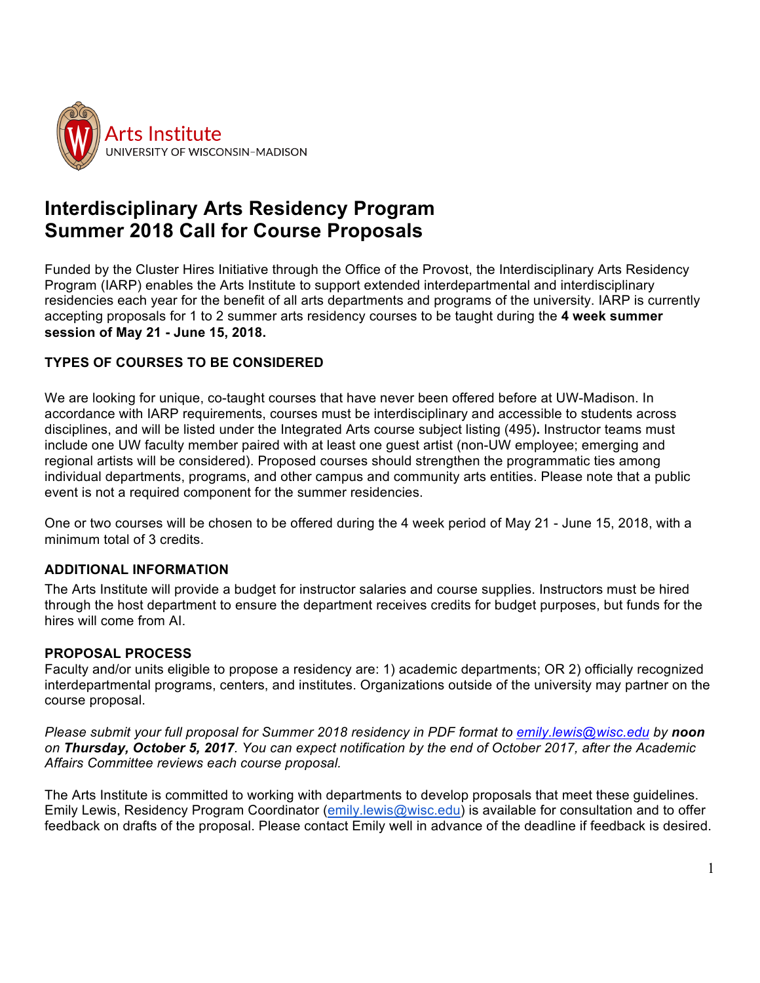

# **Interdisciplinary Arts Residency Program Summer 2018 Call for Course Proposals**

Funded by the Cluster Hires Initiative through the Office of the Provost, the Interdisciplinary Arts Residency Program (IARP) enables the Arts Institute to support extended interdepartmental and interdisciplinary residencies each year for the benefit of all arts departments and programs of the university. IARP is currently accepting proposals for 1 to 2 summer arts residency courses to be taught during the **4 week summer session of May 21 - June 15, 2018.**

### **TYPES OF COURSES TO BE CONSIDERED**

We are looking for unique, co-taught courses that have never been offered before at UW-Madison. In accordance with IARP requirements, courses must be interdisciplinary and accessible to students across disciplines, and will be listed under the Integrated Arts course subject listing (495)**.** Instructor teams must include one UW faculty member paired with at least one guest artist (non-UW employee; emerging and regional artists will be considered). Proposed courses should strengthen the programmatic ties among individual departments, programs, and other campus and community arts entities. Please note that a public event is not a required component for the summer residencies.

One or two courses will be chosen to be offered during the 4 week period of May 21 - June 15, 2018, with a minimum total of 3 credits.

#### **ADDITIONAL INFORMATION**

The Arts Institute will provide a budget for instructor salaries and course supplies. Instructors must be hired through the host department to ensure the department receives credits for budget purposes, but funds for the hires will come from AI.

#### **PROPOSAL PROCESS**

Faculty and/or units eligible to propose a residency are: 1) academic departments; OR 2) officially recognized interdepartmental programs, centers, and institutes. Organizations outside of the university may partner on the course proposal.

*Please submit your full proposal for Summer 2018 residency in PDF format to emily.lewis@wisc.edu by noon on Thursday, October 5, 2017. You can expect notification by the end of October 2017, after the Academic Affairs Committee reviews each course proposal.* 

The Arts Institute is committed to working with departments to develop proposals that meet these guidelines. Emily Lewis, Residency Program Coordinator (emily.lewis@wisc.edu) is available for consultation and to offer feedback on drafts of the proposal. Please contact Emily well in advance of the deadline if feedback is desired.